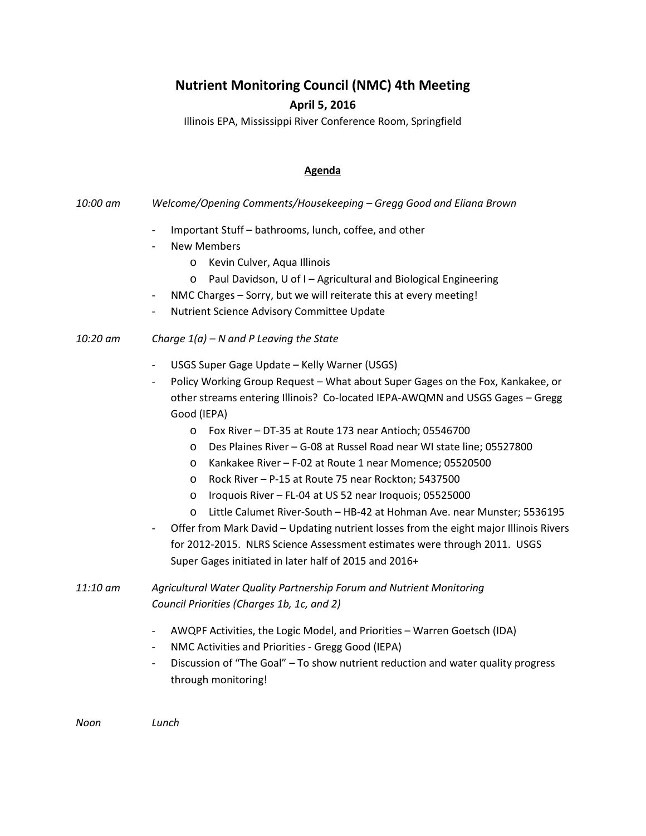## **Nutrient Monitoring Council (NMC) 4th Meeting**

## **April 5, 2016**

Illinois EPA, Mississippi River Conference Room, Springfield

## **Agenda**

- *10:00 am Welcome/Opening Comments/Housekeeping – Gregg Good and Eliana Brown*
	- Important Stuff bathrooms, lunch, coffee, and other
	- New Members
		- o Kevin Culver, Aqua Illinois
		- o Paul Davidson, U of I Agricultural and Biological Engineering
	- NMC Charges Sorry, but we will reiterate this at every meeting!
	- Nutrient Science Advisory Committee Update

## *10:20 am Charge 1(a) – N and P Leaving the State*

- USGS Super Gage Update Kelly Warner (USGS)
- Policy Working Group Request What about Super Gages on the Fox, Kankakee, or other streams entering Illinois? Co-located IEPA-AWQMN and USGS Gages – Gregg Good (IEPA)
	- o Fox River DT-35 at Route 173 near Antioch; 05546700
	- o Des Plaines River G-08 at Russel Road near WI state line; 05527800
	- o Kankakee River F-02 at Route 1 near Momence; 05520500
	- o Rock River P-15 at Route 75 near Rockton; 5437500
	- o Iroquois River FL-04 at US 52 near Iroquois; 05525000
	- o Little Calumet River-South HB-42 at Hohman Ave. near Munster; 5536195
- Offer from Mark David Updating nutrient losses from the eight major Illinois Rivers for 2012-2015. NLRS Science Assessment estimates were through 2011. USGS Super Gages initiated in later half of 2015 and 2016+
- *11:10 am Agricultural Water Quality Partnership Forum and Nutrient Monitoring Council Priorities (Charges 1b, 1c, and 2)*
	- AWQPF Activities, the Logic Model, and Priorities Warren Goetsch (IDA)
	- NMC Activities and Priorities Gregg Good (IEPA)
	- Discussion of "The Goal" To show nutrient reduction and water quality progress through monitoring!

*Noon Lunch*